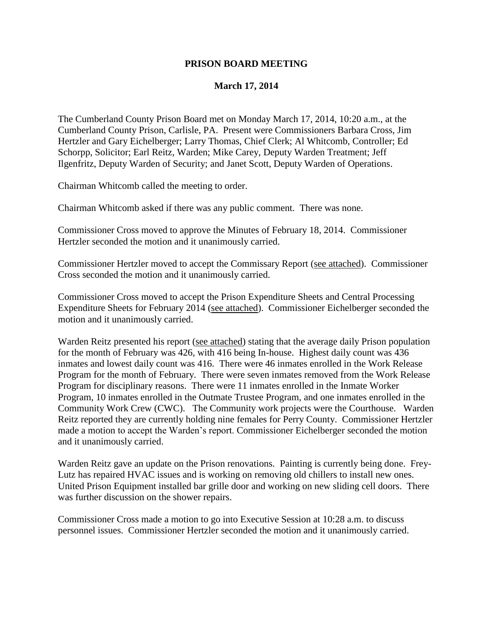## **PRISON BOARD MEETING**

## **March 17, 2014**

The Cumberland County Prison Board met on Monday March 17, 2014, 10:20 a.m., at the Cumberland County Prison, Carlisle, PA. Present were Commissioners Barbara Cross, Jim Hertzler and Gary Eichelberger; Larry Thomas, Chief Clerk; Al Whitcomb, Controller; Ed Schorpp, Solicitor; Earl Reitz, Warden; Mike Carey, Deputy Warden Treatment; Jeff Ilgenfritz, Deputy Warden of Security; and Janet Scott, Deputy Warden of Operations.

Chairman Whitcomb called the meeting to order.

Chairman Whitcomb asked if there was any public comment. There was none.

Commissioner Cross moved to approve the Minutes of February 18, 2014. Commissioner Hertzler seconded the motion and it unanimously carried.

Commissioner Hertzler moved to accept the Commissary Report (see attached). Commissioner Cross seconded the motion and it unanimously carried.

Commissioner Cross moved to accept the Prison Expenditure Sheets and Central Processing Expenditure Sheets for February 2014 (see attached). Commissioner Eichelberger seconded the motion and it unanimously carried.

Warden Reitz presented his report (see attached) stating that the average daily Prison population for the month of February was 426, with 416 being In-house. Highest daily count was 436 inmates and lowest daily count was 416. There were 46 inmates enrolled in the Work Release Program for the month of February. There were seven inmates removed from the Work Release Program for disciplinary reasons. There were 11 inmates enrolled in the Inmate Worker Program, 10 inmates enrolled in the Outmate Trustee Program, and one inmates enrolled in the Community Work Crew (CWC). The Community work projects were the Courthouse. Warden Reitz reported they are currently holding nine females for Perry County. Commissioner Hertzler made a motion to accept the Warden's report. Commissioner Eichelberger seconded the motion and it unanimously carried.

Warden Reitz gave an update on the Prison renovations. Painting is currently being done. Frey-Lutz has repaired HVAC issues and is working on removing old chillers to install new ones. United Prison Equipment installed bar grille door and working on new sliding cell doors. There was further discussion on the shower repairs.

Commissioner Cross made a motion to go into Executive Session at 10:28 a.m. to discuss personnel issues. Commissioner Hertzler seconded the motion and it unanimously carried.